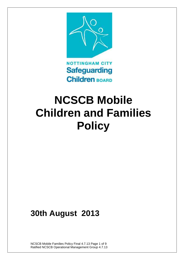

# **NCSCB Mobile Children and Families Policy**

## **30th August 2013**

NCSCB Mobile Families Policy Final 4.7.13 Page 1 of 9 Ratified NCSCB Operational Management Group 4.7.13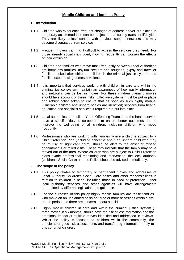### **Mobile Children and families Policy**

#### **1 Introduction**

- 1.1.1 Children who experience frequent changes of address and/or are placed in temporary accommodation can be subject to particularly transient lifestyles. They are likely to lose contact with previous support networks and may become disengaged from services.
- 1.1.2 Frequent movers can find it difficult to access the services they need. For those already socially excluded, moving frequently can worsen the effects of their exclusion.
- 1.1.3 Children and families who move most frequently between Local Authorities are homeless families, asylum seekers and refugees, gypsy and traveller families, looked after children, children in the criminal justice system, and families experiencing domestic violence.
- 1.1.4 It is important that services working with children in care and within the criminal justice system maintain an awareness of how easily information and networks can be lost in moves. For these children planning moves should take account of these risks. Effective systems must be put in place and robust action taken to ensure that as soon as such highly mobile, vulnerable children and unborn babies are identified; services from health, education and specialist services if required are put into place.
- 1.1.5 Local authorities, the police, Youth Offending Teams and the health service have a specific 'duty to co-operate' to ensure better outcomes and to improve the well-being of all children, including children who move frequently.
- 1.1.6 Professionals who are working with families where a child is subject to a Child Protection Plan (including concerns about an unborn child who may be at risk of significant harm) should be alert to the onset of missed appointments or failed visits. These may indicate that the family may have moved out of the area. Where children who are subject to Child Protection plans evade professional monitoring and intervention, the local authority (children's Social Care) and the Police should be advised immediately.

#### **2 The scope of the policy**

- 2.1.1 This policy relates to temporary or permanent moves and addresses of Local Authority Children's Social Care cases and other responsibilities in relation to children in need, including those in need of protection. Other local authority services and other agencies will have arrangements determined by different legislation and guidance.
- 2.1.2 For the purposes of this policy highly mobile families are those families who move on an unplanned basis on three or more occasions within a sixmonth period and there are concerns about a child.
- 2.1.3 Highly mobile children in care and within the criminal justice system ( three moves in six months) should have the risk of lost information and the emotional impact of multiple moves identified and addressed in reviews. Whilst the policy is focused on children within the community, the principles of good risk assessments and transferring information apply to this cohort of children.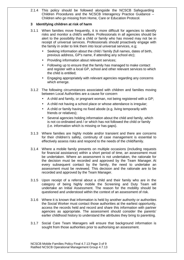2.1.4 This policy should be followed alongside the NCSCB Safeguarding Children Procedures and the NCSCB Interagency Practice Guidance – Children who go missing from Home, Care or Education Protocol.

#### **3 Identifying children at risk of harm**

- 3.1.1 When families move frequently, it is more difficult for agencies to identify risks and monitor a child's welfare. Professionals in all agencies should be alert to the possibility that a child or family who has moved may not be in receipt of universal services. Professionals should proactively engage with the family in order to link them into local universal services, e.g;
	- Seeking information about the child / family (full names, dates of birth, previous address, GP's name, if attending any school etc);
	- Providing information about relevant services;
	- Following up to ensure that the family has managed to make contact and register with a local GP, school and other relevant services to which the child is entitled;
	- Engaging appropriately with relevant agencies regarding any concerns which emerge.
- 3.1.2 The following circumstances associated with children and families moving between Local Authorities are a cause for concern
	- A child and family, or pregnant woman, not being registered with a GP;
	- A child not having a school place or whose attendance is irregular;
	- A child or family having no fixed abode (e.g. living temporarily with friends or relatives);
	- Several agencies holding information about the child and family, which is not co-ordinated and / or which has not followed the child or family (i.e. information which is missing or has gaps).
- 3.1.3 Where families are highly mobile and/or transient and there are concerns for their children's safety, continuity of case management is essential to effectively assess risks and respond to the needs of the child/family.
- 3.1.4 Where a mobile family presents on multiple occasions (including requests for financial assistance) within a short period of time, an assessment must be undertaken. Where an assessment is not undertaken, the rationale for the decision must be recorded and approved by the Team Manager. At every subsequent contact by the family, the need to undertake an assessment must be reviewed. This decision and the rationale are to be recorded and approved by the Team Manager.
- 3.1.5 Upon receipt of a referral about a child and their family who are in the category of being highly mobile the Screening and Duty Team will undertake an Initial Assessment. The reason for the mobility should be questioned and understood within the context of an assessment of risk.
- 3.1.6 Where it is known that information is held by another authority or authorities the Social Worker must contact those authorities at the earliest opportunity, access the records held and record and share this information with partner agencies as appropriate. The assessment should consider the parents' earlier childhood history to understand the attributes they bring to parenting.
- 3.1.7 Social Care Team Managers will ensure that background information is sought from those authorities prior to authorising an assessment.

NCSCB Mobile Families Policy Final 4.7.13 Page 3 of 9 Ratified NCSCB Operational Management Group 4.7.13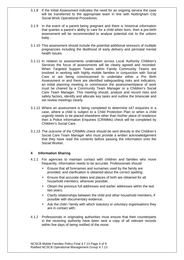- 3.1.8 If the Initial Assessment indicates the need for an ongoing service the case will be transferred to the appropriate team in line with Nottingham City Social Work Operational Procedures.
- 3.1.9 In the event of a parent being pregnant and there is historical information that queries a parent's ability to care for a child when born, then a pre-birth assessment will be recommended to analyse potential risk to the unborn baby .
- 3.1.10 This assessment should include the potential additional stressors of multiple pregnancies including the likelihood of early delivery and perinatal mental health issues.
- 3.1.11 In relation to assessments undertaken across Local Authority Children's Services the focus of assessments will be clearly agreed and recorded. When Targeted Support Teams within Family Community Teams are involved in working with highly mobile families in conjunction with Social Care or are being commissioned to undertake either a Pre Birth Assessment or and there are identified safeguarding risks and indicators, an initial planning meeting to commission the assessment/piece of work must be chaired by a Community Team Manager or a Children's Social Care Team Manager. This meeting should, analyze and record risks and safety factors, identify and allocate key tasks and outline the timescale and set review meetings clearly.
- 3.1.12 Where an assessment is being completed to determine s47 enquiries in a case, where a child is subject to a Child Protection Plan or when a child urgently needs to be placed elsewhere other than his/her place of residence then a Police Information Enquiries (CRIMMs) check will be completed by Children's Social Care.
- 3.1.13 The outcome of the CRIMMs check should be sent directly to the Children's Social Care Team Manager who must provide a written acknowledgement that they have read the contents before passing the information onto the Social Worker.

#### **4 Information Sharing**

- 4.1.1 For agencies to maintain contact with children and families who move frequently, information needs to be accurate. Professionals should:
	- Ensure that all forenames and surnames used by the family are provided, and clarification is obtained about the correct spelling;
	- Ensure that accurate dates and places of birth are obtained for all household members, wherever possible;
	- Obtain the previous full addresses and earlier addresses within the last two years;
	- Clarify relationships between the child and other household members, if possible with documentary evidence;
	- Ask the child / family with which statutory or voluntary organisations they are in contact with;
- 4.1.2 Professionals in originating authorities must ensure that their counterparts in the receiving authority have been sent a copy of all relevant records within five days of being notified of the move.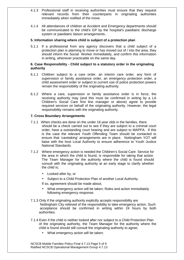- 4.1.3 Professional staff in receiving authorities must ensure that they request relevant records from their counterparts in originating authorities immediately when notified of the move.
- 4.1.4 All attendances of children at Accident and Emergency departments should be communicated to the child's GP by the hospital's paediatric discharge system or paediatric liaison arrangements..

#### **5. Information sharing where child is subject of a protection plan**

5.1.1 If a professional from any agency discovers that a child subject of a protection plan is planning to move or has moved out of / into the area, they should inform the Social Worker immediately, and confirm this information in writing, whenever practicable on the same day.

#### **6. Case Responsibility - Child subject to a statutory order in the originating authority**

- 6.1.1 Children subject to a care order, an interim care order, any form of supervision or family assistance order, an emergency protection order, a child assessment order or subject to current use of police protection powers remain the responsibility of the originating authority.
- 6.1.2 Where a care, supervision or family assistance order is in force, the receiving authority may (and this must be confirmed in writing by a LA Children's Social Care first line manager or above) agree to provide required services on behalf of the originating authority. However, the legal responsibility remains with the originating authority.

#### **7. Cross Boundary Arrangements**

- 7.1.1 When checks are done on the under 18 year olds in the families, there should be a check carried out to see if they are subject to a criminal court order, have a outstanding court hearing and are subject to MAPPA. If this is the case the relevant Youth Offending Team should be contacted to ensure that 'caretaking' arrangements are in place. Nottingham YOT will liaise with the host Local Authority to ensure adherence to Youth Justice National Standards.
- 7.1.2 Where emergency action is needed the Children's Social Care Service for the area in which the child is found, is responsible for taking that action. The Team Manager for the authority where the child is found should consult with the originating authority at an early stage to clarify whether the child is;
	- Looked after by, or
	- Subject to a Child Protection Plan of another Local Authority.
	- If so, agreement should be made about;
	- What emergency action will be taken; Roles and action immediately following emergency response.
- 7.1.3 Only if the originating authority explicitly accepts responsibility are Nottingham City relieved of the responsibility to take emergency action. Such acceptance should be confirmed in writing within 24 hours by both authorities.
- 7.1.4 Even if the child is neither looked after nor subject to a Child Protection Plan of the originating authority, the Team Manager for the authority where the child is found should still consult the originating authority to agree;
	- What emergency action will be taken;

NCSCB Mobile Families Policy Final 4.7.13 Page 5 of 9 Ratified NCSCB Operational Management Group 4.7.13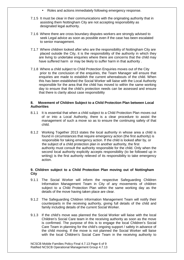- Roles and actions immediately following emergency response.
- 7.1.5 It must be clear in their communications with the originating authority that in assisting them Nottingham City are not accepting responsibility as designated legal authority.
- 7.1.6 Where there are cross boundary disputes workers are strongly advised to seek Legal advice as soon as possible even if the case has been escalated to senior management.
- 7.1.7 Where children looked after who are the responsibility of Nottingham City are placed outside the City, it is the responsibility of the authority in which they are living to undertake enquiries where there are concerns that the child may have suffered harm or may be likely to suffer harm in that authority .
- 7.1.8 Where a child subject to Child Protection Enquiries moves out of the City prior to the conclusion of the enquiries, the Team Manager will ensure that enquiries are made to establish the current whereabouts of the child. When this has been established the Social Worker will liaise with the Local Authority responsible for the area that the child has moved to within the same working day to ensure that the child's protection needs can be assessed and ensure that there is clarity about case responsibility

#### **8. Movement of Children Subject to a Child Protection Plan between Local Authorities**

- 8.1.1 It is essential that when a child subject to a Child Protection Plan moves out of or into a Local Authority, there is a clear procedure to assist the management of such a move so as to ensure the continuing safety of that child.
- 8.1.2 Working Together 2013 states the local authority in whose area a child is found in circumstances that require emergency action (the first authority) is responsible for taking emergency action. If the child is looked after by, or the subject of a child protection plan in another authority, the first authority must consult the authority responsible for the child. Only when the second local authority explicitly accepts responsibility (to be followed up in writing) is the first authority relieved of its responsibility to take emergency action.

#### **9. Children subject to a Child Protection Plan moving out of Nottingham City**

- 9.1.1 The Social Worker will inform the respective Safeguarding Children Information Management Team in City of any movements of children subject to a Child Protection Plan within the same working day as the details of the move having taken place are clear.
- 9.1.2 The Safeguarding Children Information Management Team will notify their counterparts in the receiving authority, giving full details of the child and family including details of the current Social Worker.
- 9.1.3 If the child's move was planned the Social Worker will liaise with the local Children's Social Care team in the receiving authority as soon as the move is confirmed. The purpose of this is to engage the local Children's Social Care Team in planning for the child's ongoing support / safety in advance of the child moving. If the move is not planned the Social Worker will liaise with the local Children's Social Care Team in the receiving authority to

NCSCB Mobile Families Policy Final 4.7.13 Page 6 of 9 Ratified NCSCB Operational Management Group 4.7.13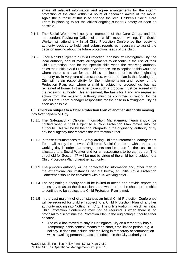share all relevant information and agree arrangements for the interim protection of the child within 24 hours of becoming aware of the move. Again the purpose of this is to engage the local Children's Social Care Team in planning to for the child's ongoing support / safety as soon as possible.

- 9.1.4 The Social Worker will notify all members of the Core Group, and the Independent Reviewing Officer of the child's move in writing. The Social Worker will attend any Initial Child Protection Conference the receiving authority decides to hold, and submit reports as necessary to assist the decision making about the future protection needs of the child.
- **9.1.5** Once a child subject to a Child Protection Plan has left Nottingham City, the local authority should make arrangements to discontinue the use of their Child Protection Plan for the specific child when the receiving authority holds their Initial Child Protection Conference. An exception to this would be where there is a plan for the child's imminent return to the originating authority or, in very rare circumstances, where the plan is that Nottingham City will retain responsibility for the implementation and review of the Protection Plan, e.g. where a child is subject to proceedings but has remained at home. In the latter case such a proposal must be agreed with the receiving authority. This agreement, the basis for it and any requested action from the receiving authority must be confirmed in writing by the Social Care Team Manager responsible for the case in Nottingham City as soon as possible.

#### **10. Children subject to a Child Protection Plan of another Authority moving into Nottingham or City**

- 10.1.1 The Safeguarding Children Information Management Team should be notified when a child subject to a Child Protection Plan moves into the authority. This will be by their counterparts in the originating authority or by any local agency that receives the information direct.
- 10.1.2 In these circumstances the Safeguarding Children Information Management Team will notify the relevant Children's Social Care team within the same working day in order that arrangements can be made for the case to be allocated to a Social Worker and for an assessment to be carried out. The threshold for Section 47 will be met by virtue of the child being subject to a Child Protection Plan of another authority.
- 10.1.3 The previous authority will be contacted for information and, other than in the exceptional circumstances set out below, an Initial Child Protection Conference should be convened within 15 working days.
- 10.1.4 The originating authority should be invited to attend and provide reports as necessary to assist the discussion about whether the threshold for the child to continue to be subject to a Child Protection Plan is met.
- 10.1.5 In the vast majority of circumstances an Initial Child Protection Conference will be required for children subject to a Child Protection Plan of another authority moving into Nottingham City. The only situation in which an Initial Child Protection Conference may not be required is when there is no proposal to discontinue the Protection Plan in the originating authority either because;
	- The child has moved to stay in Nottingham City on a temporary basis. Temporary in this context means for a short, time-limited period, e.g. a holiday. It does not include children living in temporary accommodation whilst awaiting permanent accommodation in the City authority, or

NCSCB Mobile Families Policy Final 4.7.13 Page 7 of 9 Ratified NCSCB Operational Management Group 4.7.13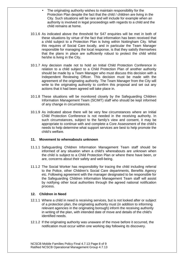- The originating authority wishes to maintain responsibility for the Protection Plan despite the fact that the child / children are living in the City. Such situations will be rare and will include for example when an authority is involved in legal proceedings with regards to a child and the child remains at home.
- 10.1.6 As indicated above the threshold for S47 enquiries will be met in both of these situations by virtue of the fact that information has been received that a child subject to a Protection Plan is living within Nottingham City. What this requires of Social Care locally, and in particular the Team Manager responsible for managing the local response, is that they satisfy themselves that the plans in place are sufficiently robust to protect the child whilst he/she is living in the City.
- 10.1.7 Any decision made not to hold an Initial Child Protection Conference in relation to a child subject to a Child Protection Plan of another authority should be made by a Team Manager who must discuss this decision with a Independent Reviewing Officer. This decision must be made with the agreement of the originating authority. The Team Manager from the City will write to the originating authority to confirm this proposal and set out any actions that it had been agreed will take place in.
- 10.1.8 These situations will be monitored closely by the Safeguarding Children Information Management Team (SCIMT) staff who should be kept informed of any change in circumstances.
- 10.1.9 As indicated above there will be very few circumstances where an Initial Child Protection Conference is not needed in the receiving authority. In such circumstances, subject to the family's view and consent, it may be appropriate to continue with and complete a Core Assessment of the child's needs to help determine what support services are best to help promote the child's welfare.

#### **11. Movement to whereabouts unknown**

- 11.1.1 Safeguarding Children Information Management Team staff should be informed of any situation when a child's whereabouts are unknown when the child is subject to a Child Protection Plan or where there have been, or are, concerns about their safety and well-being.
- 11.1.2 The Social Worker has responsibility for tracing the child including referral to the Police, other Children's Social Care departments, Benefits Agency etc. Following agreement with the manager designated to be responsible for the Safeguarding Children Information Management Team staff will assist by notifying other local authorities through the agreed national notification process.

#### **12. Children in Need**

- 12.1.1 Where a child in need is receiving services, but is not looked after or subject of a protection plan, the originating authority must (in addition to informing relevant agencies in the originating borough) inform the receiving authority in writing of the plan, with intended date of move and details of the child's identified needs.
- 12.1.2 If the originating authority was unaware of the move before it occurred, the notification must occur within one working day following its discovery.

NCSCB Mobile Families Policy Final 4.7.13 Page 8 of 9 Ratified NCSCB Operational Management Group 4.7.13